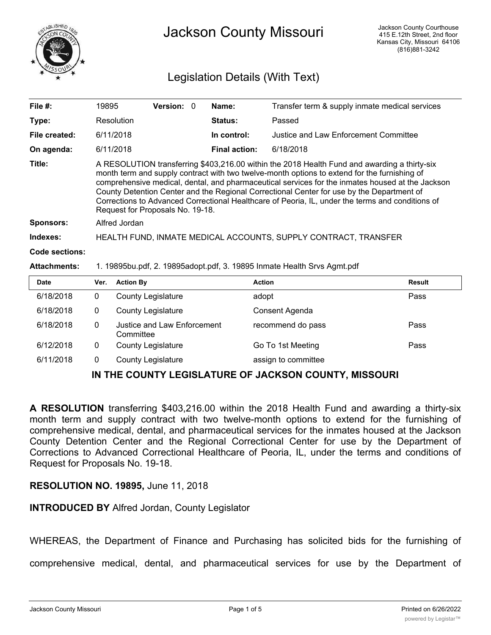

# Legislation Details (With Text)

| File $#$ :            | 19895                                                                                                                                                                                                                                                                                                                                                                                                                                                                                                                                 | Version: 0 |  | Name:                | Transfer term & supply inmate medical services |
|-----------------------|---------------------------------------------------------------------------------------------------------------------------------------------------------------------------------------------------------------------------------------------------------------------------------------------------------------------------------------------------------------------------------------------------------------------------------------------------------------------------------------------------------------------------------------|------------|--|----------------------|------------------------------------------------|
| Type:                 | Resolution                                                                                                                                                                                                                                                                                                                                                                                                                                                                                                                            |            |  | <b>Status:</b>       | Passed                                         |
| File created:         | 6/11/2018                                                                                                                                                                                                                                                                                                                                                                                                                                                                                                                             |            |  | In control:          | Justice and Law Enforcement Committee          |
| On agenda:            | 6/11/2018                                                                                                                                                                                                                                                                                                                                                                                                                                                                                                                             |            |  | <b>Final action:</b> | 6/18/2018                                      |
| Title:                | A RESOLUTION transferring \$403,216.00 within the 2018 Health Fund and awarding a thirty-six<br>month term and supply contract with two twelve-month options to extend for the furnishing of<br>comprehensive medical, dental, and pharmaceutical services for the inmates housed at the Jackson<br>County Detention Center and the Regional Correctional Center for use by the Department of<br>Corrections to Advanced Correctional Healthcare of Peoria, IL, under the terms and conditions of<br>Request for Proposals No. 19-18. |            |  |                      |                                                |
| <b>Sponsors:</b>      | Alfred Jordan                                                                                                                                                                                                                                                                                                                                                                                                                                                                                                                         |            |  |                      |                                                |
| Indexes:              | HEALTH FUND, INMATE MEDICAL ACCOUNTS, SUPPLY CONTRACT, TRANSFER                                                                                                                                                                                                                                                                                                                                                                                                                                                                       |            |  |                      |                                                |
| <b>Code sections:</b> |                                                                                                                                                                                                                                                                                                                                                                                                                                                                                                                                       |            |  |                      |                                                |
|                       |                                                                                                                                                                                                                                                                                                                                                                                                                                                                                                                                       |            |  |                      |                                                |

#### **Attachments:** 1. 19895bu.pdf, 2. 19895adopt.pdf, 3. 19895 Inmate Health Srvs Agmt.pdf

| <b>Date</b> | Ver. | <b>Action By</b>                         | <b>Action</b>       | Result |
|-------------|------|------------------------------------------|---------------------|--------|
| 6/18/2018   | 0    | <b>County Legislature</b>                | adopt               | Pass   |
| 6/18/2018   | 0    | <b>County Legislature</b>                | Consent Agenda      |        |
| 6/18/2018   | 0    | Justice and Law Enforcement<br>Committee | recommend do pass   | Pass   |
| 6/12/2018   | 0    | <b>County Legislature</b>                | Go To 1st Meeting   | Pass   |
| 6/11/2018   |      | <b>County Legislature</b>                | assign to committee |        |

### **IN THE COUNTY LEGISLATURE OF JACKSON COUNTY, MISSOURI**

**A RESOLUTION** transferring \$403,216.00 within the 2018 Health Fund and awarding a thirty-six month term and supply contract with two twelve-month options to extend for the furnishing of comprehensive medical, dental, and pharmaceutical services for the inmates housed at the Jackson County Detention Center and the Regional Correctional Center for use by the Department of Corrections to Advanced Correctional Healthcare of Peoria, IL, under the terms and conditions of Request for Proposals No. 19-18.

#### **RESOLUTION NO. 19895,** June 11, 2018

#### **INTRODUCED BY** Alfred Jordan, County Legislator

WHEREAS, the Department of Finance and Purchasing has solicited bids for the furnishing of

comprehensive medical, dental, and pharmaceutical services for use by the Department of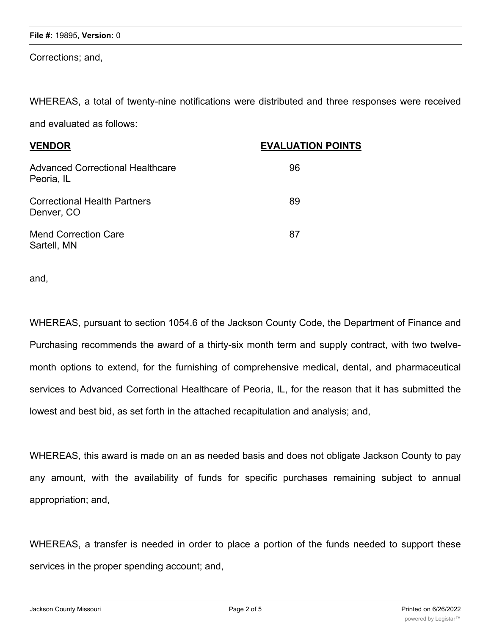Corrections; and,

WHEREAS, a total of twenty-nine notifications were distributed and three responses were received

and evaluated as follows:

| <b>VENDOR</b>                                  | <b>EVALUATION POINTS</b> |
|------------------------------------------------|--------------------------|
| Advanced Correctional Healthcare<br>Peoria, IL | 96                       |
| Correctional Health Partners<br>Denver, CO     | 89                       |
| Mend Correction Care<br>Sartell, MN            | 87                       |

and,

WHEREAS, pursuant to section 1054.6 of the Jackson County Code, the Department of Finance and Purchasing recommends the award of a thirty-six month term and supply contract, with two twelvemonth options to extend, for the furnishing of comprehensive medical, dental, and pharmaceutical services to Advanced Correctional Healthcare of Peoria, IL, for the reason that it has submitted the lowest and best bid, as set forth in the attached recapitulation and analysis; and,

WHEREAS, this award is made on an as needed basis and does not obligate Jackson County to pay any amount, with the availability of funds for specific purchases remaining subject to annual appropriation; and,

WHEREAS, a transfer is needed in order to place a portion of the funds needed to support these services in the proper spending account; and,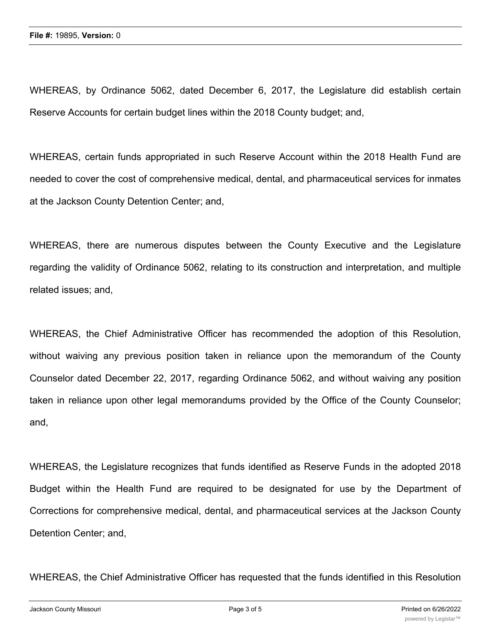WHEREAS, by Ordinance 5062, dated December 6, 2017, the Legislature did establish certain Reserve Accounts for certain budget lines within the 2018 County budget; and,

WHEREAS, certain funds appropriated in such Reserve Account within the 2018 Health Fund are needed to cover the cost of comprehensive medical, dental, and pharmaceutical services for inmates at the Jackson County Detention Center; and,

WHEREAS, there are numerous disputes between the County Executive and the Legislature regarding the validity of Ordinance 5062, relating to its construction and interpretation, and multiple related issues; and,

WHEREAS, the Chief Administrative Officer has recommended the adoption of this Resolution, without waiving any previous position taken in reliance upon the memorandum of the County Counselor dated December 22, 2017, regarding Ordinance 5062, and without waiving any position taken in reliance upon other legal memorandums provided by the Office of the County Counselor; and,

WHEREAS, the Legislature recognizes that funds identified as Reserve Funds in the adopted 2018 Budget within the Health Fund are required to be designated for use by the Department of Corrections for comprehensive medical, dental, and pharmaceutical services at the Jackson County Detention Center; and,

WHEREAS, the Chief Administrative Officer has requested that the funds identified in this Resolution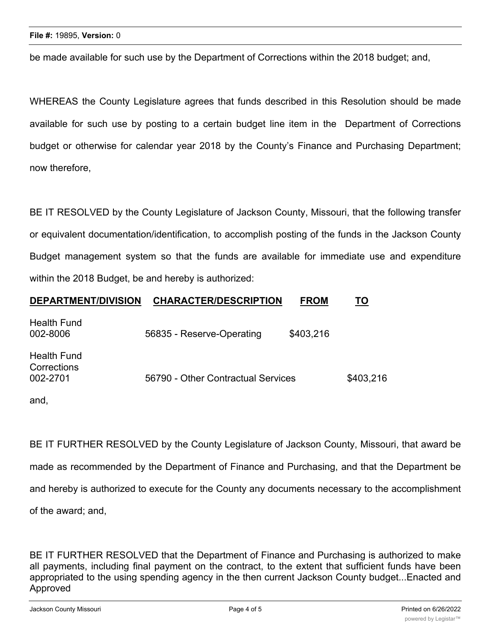be made available for such use by the Department of Corrections within the 2018 budget; and,

WHEREAS the County Legislature agrees that funds described in this Resolution should be made available for such use by posting to a certain budget line item in the Department of Corrections budget or otherwise for calendar year 2018 by the County's Finance and Purchasing Department; now therefore,

BE IT RESOLVED by the County Legislature of Jackson County, Missouri, that the following transfer or equivalent documentation/identification, to accomplish posting of the funds in the Jackson County Budget management system so that the funds are available for immediate use and expenditure within the 2018 Budget, be and hereby is authorized:

## **DEPARTMENT/DIVISION CHARACTER/DESCRIPTION FROM TO**

| Health Fund<br>002-8006                | 56835 - Reserve-Operating          | \$403,216 |           |
|----------------------------------------|------------------------------------|-----------|-----------|
| Health Fund<br>Corrections<br>002-2701 | 56790 - Other Contractual Services |           | \$403,216 |

and,

BE IT FURTHER RESOLVED by the County Legislature of Jackson County, Missouri, that award be made as recommended by the Department of Finance and Purchasing, and that the Department be and hereby is authorized to execute for the County any documents necessary to the accomplishment of the award; and,

BE IT FURTHER RESOLVED that the Department of Finance and Purchasing is authorized to make all payments, including final payment on the contract, to the extent that sufficient funds have been appropriated to the using spending agency in the then current Jackson County budget...Enacted and Approved